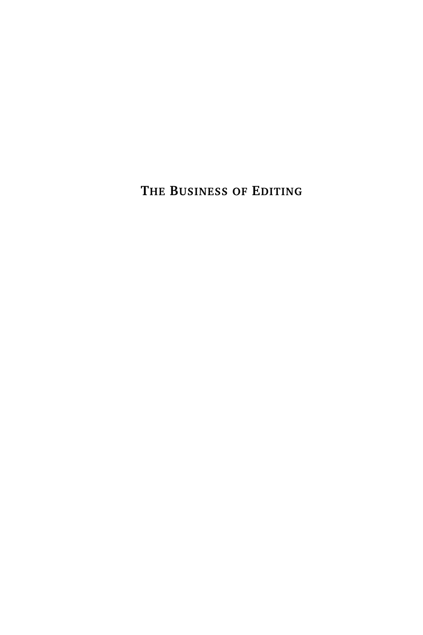**THE BUSINESS OF EDITING**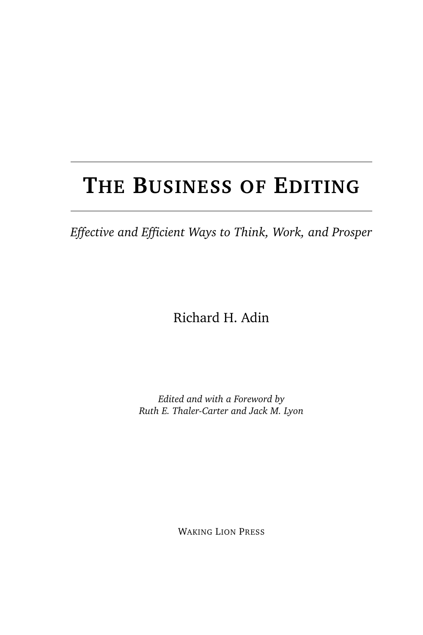## **THE BUSINESS OF EDITING**

*Effective and Efficient Ways to Think, Work, and Prosper*

Richard H. Adin

*Edited and with a Foreword by Ruth E. Thaler-Carter and Jack M. Lyon*

WAKING LION PRESS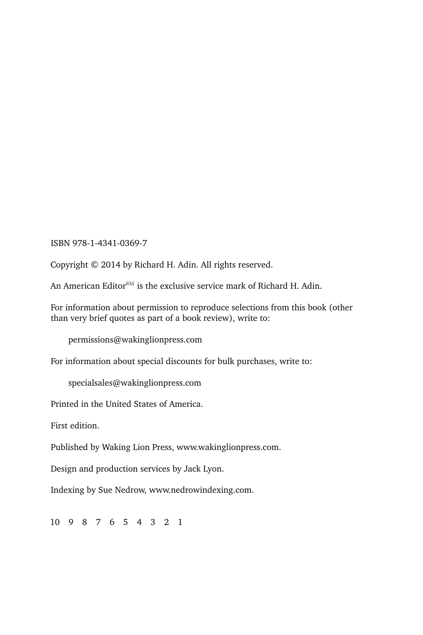ISBN 978-1-4341-0369-7

Copyright © 2014 by Richard H. Adin. All rights reserved.

An American Editor<sup>SM</sup> is the exclusive service mark of Richard H. Adin.

For information about permission to reproduce selections from this book (other than very brief quotes as part of a book review), write to:

permissions@wakinglionpress.com

For information about special discounts for bulk purchases, write to:

specialsales@wakinglionpress.com

Printed in the United States of America.

First edition.

Published by Waking Lion Press, www.wakinglionpress.com.

Design and production services by Jack Lyon.

Indexing by Sue Nedrow, www.nedrowindexing.com.

10 9 8 7 6 5 4 3 2 1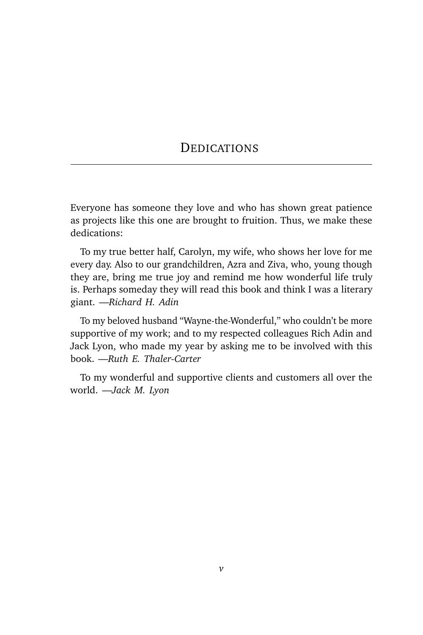#### **DEDICATIONS**

Everyone has someone they love and who has shown great patience as projects like this one are brought to fruition. Thus, we make these dedications:

To my true better half, Carolyn, my wife, who shows her love for me every day. Also to our grandchildren, Azra and Ziva, who, young though they are, bring me true joy and remind me how wonderful life truly is. Perhaps someday they will read this book and think I was a literary giant. —*Richard H. Adin*

To my beloved husband "Wayne-the-Wonderful," who couldn't be more supportive of my work; and to my respected colleagues Rich Adin and Jack Lyon, who made my year by asking me to be involved with this book. —*Ruth E. Thaler-Carter*

To my wonderful and supportive clients and customers all over the world. —*Jack M. Lyon*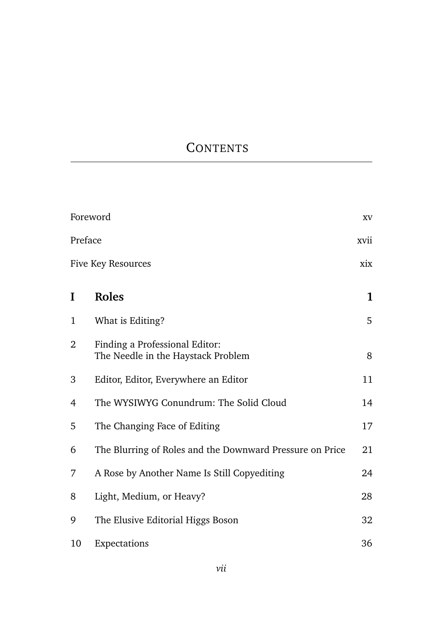## **CONTENTS**

|         | Foreword                                                             | XV   |
|---------|----------------------------------------------------------------------|------|
| Preface |                                                                      | xvii |
|         | Five Key Resources                                                   | xix  |
| I       | Roles                                                                | 1    |
| 1       | What is Editing?                                                     | 5    |
| 2       | Finding a Professional Editor:<br>The Needle in the Haystack Problem | 8    |
| 3       | Editor, Editor, Everywhere an Editor                                 | 11   |
| 4       | The WYSIWYG Conundrum: The Solid Cloud                               | 14   |
| 5       | The Changing Face of Editing                                         | 17   |
| 6       | The Blurring of Roles and the Downward Pressure on Price             | 21   |
| 7       | A Rose by Another Name Is Still Copyediting                          | 24   |
| 8       | Light, Medium, or Heavy?                                             | 28   |
| 9       | The Elusive Editorial Higgs Boson                                    | 32   |
| 10      | Expectations                                                         | 36   |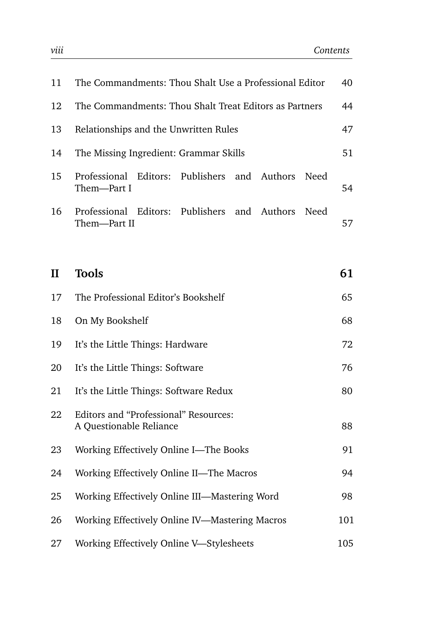| 11           | The Commandments: Thou Shalt Use a Professional Editor                           | 40  |
|--------------|----------------------------------------------------------------------------------|-----|
| 12           | The Commandments: Thou Shalt Treat Editors as Partners                           | 44  |
| 13           | Relationships and the Unwritten Rules                                            | 47  |
| 14           | The Missing Ingredient: Grammar Skills                                           | 51  |
| 15           | Editors:<br>Publishers<br>Professional<br>and<br>Authors<br>Need<br>Them-Part I  | 54  |
| 16           | Editors:<br>Publishers<br>Authors<br>Professional<br>and<br>Need<br>Them-Part II | 57  |
|              |                                                                                  |     |
| $\mathbf{I}$ | <b>Tools</b>                                                                     | 61  |
| 17           | The Professional Editor's Bookshelf                                              | 65  |
| 18           | On My Bookshelf                                                                  | 68  |
| 19           | It's the Little Things: Hardware                                                 | 72  |
| 20           | It's the Little Things: Software                                                 | 76  |
| 21           | It's the Little Things: Software Redux                                           | 80  |
| 22           | Editors and "Professional" Resources:<br>A Questionable Reliance                 | 88  |
| 23           | Working Effectively Online I-The Books                                           | 91  |
| 24           | Working Effectively Online II-The Macros                                         | 94  |
| 25           | Working Effectively Online III-Mastering Word                                    | 98  |
| 26           | Working Effectively Online IV-Mastering Macros                                   | 101 |
| 27           | Working Effectively Online V-Stylesheets                                         | 105 |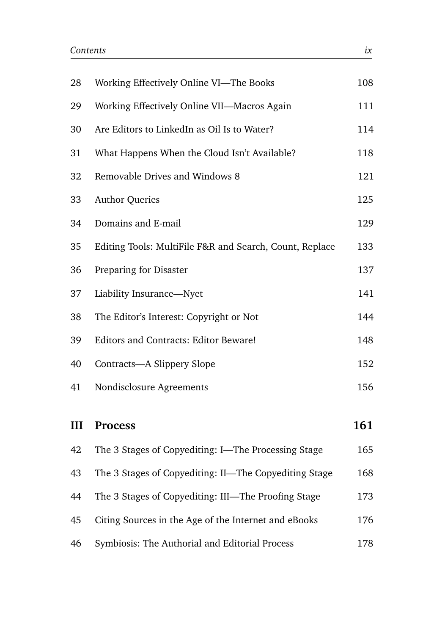| 28 | Working Effectively Online VI-The Books                 | 108 |
|----|---------------------------------------------------------|-----|
| 29 | Working Effectively Online VII-Macros Again             | 111 |
| 30 | Are Editors to LinkedIn as Oil Is to Water?             | 114 |
| 31 | What Happens When the Cloud Isn't Available?            | 118 |
| 32 | Removable Drives and Windows 8                          | 121 |
| 33 | <b>Author Queries</b>                                   | 125 |
| 34 | Domains and E-mail                                      | 129 |
| 35 | Editing Tools: MultiFile F&R and Search, Count, Replace | 133 |
| 36 | Preparing for Disaster                                  | 137 |
| 37 | Liability Insurance-Nyet                                | 141 |
| 38 | The Editor's Interest: Copyright or Not                 | 144 |
| 39 | Editors and Contracts: Editor Beware!                   | 148 |
| 40 | Contracts-A Slippery Slope                              | 152 |
| 41 | Nondisclosure Agreements                                | 156 |
|    |                                                         |     |
| Ш  | <b>Process</b>                                          | 161 |
| 42 | The 3 Stages of Copyediting: I-The Processing Stage     | 165 |
| 43 | The 3 Stages of Copyediting: II-The Copyediting Stage   | 168 |

| 45 Citing Sources in the Age of the Internet and eBooks | 176 |
|---------------------------------------------------------|-----|

44 The 3 Stages of Copyediting: III—The Proofing Stage 173

|  | 46 | Symbiosis: The Authorial and Editorial Process | 178 |
|--|----|------------------------------------------------|-----|
|--|----|------------------------------------------------|-----|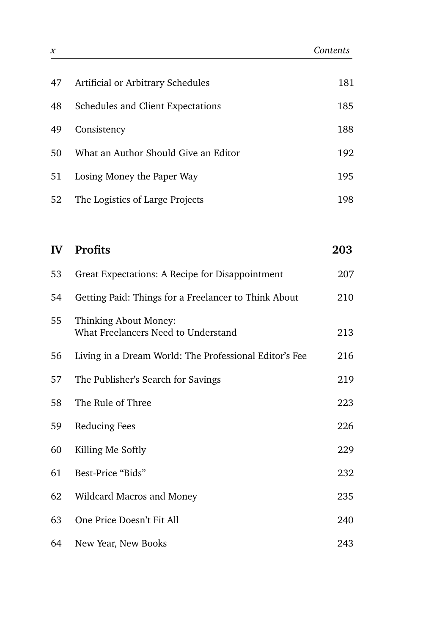| 47 | Artificial or Arbitrary Schedules    | 181 |
|----|--------------------------------------|-----|
| 48 | Schedules and Client Expectations    | 185 |
| 49 | Consistency                          | 188 |
| 50 | What an Author Should Give an Editor | 192 |
| 51 | Losing Money the Paper Way           | 195 |
| 52 | The Logistics of Large Projects      | 198 |

| $\mathbf{I} \mathbf{V}$ | <b>Profits</b>                                               | 203 |
|-------------------------|--------------------------------------------------------------|-----|
| 53                      | Great Expectations: A Recipe for Disappointment              | 207 |
| 54                      | Getting Paid: Things for a Freelancer to Think About         | 210 |
| 55                      | Thinking About Money:<br>What Freelancers Need to Understand | 213 |
| 56                      | Living in a Dream World: The Professional Editor's Fee       | 216 |
| 57                      | The Publisher's Search for Savings                           | 219 |
| 58                      | The Rule of Three                                            | 223 |
| 59                      | Reducing Fees                                                | 226 |
| 60                      | Killing Me Softly                                            | 229 |
| 61                      | Best-Price "Bids"                                            | 232 |
| 62                      | Wildcard Macros and Money                                    | 235 |
| 63                      | One Price Doesn't Fit All                                    | 240 |
| 64                      | New Year, New Books                                          | 243 |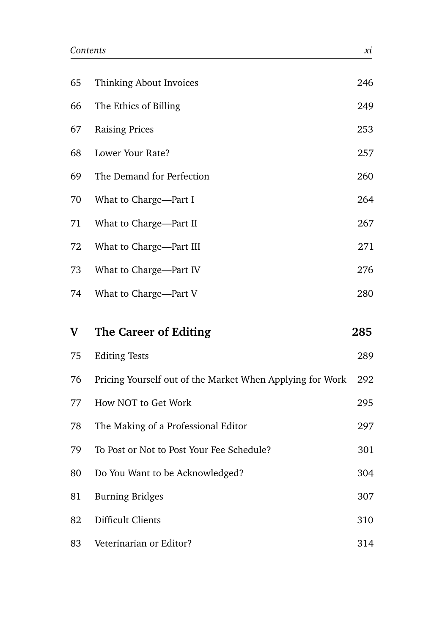| 65 | Thinking About Invoices                                   | 246 |
|----|-----------------------------------------------------------|-----|
| 66 | The Ethics of Billing                                     | 249 |
| 67 | <b>Raising Prices</b>                                     | 253 |
| 68 | Lower Your Rate?                                          | 257 |
| 69 | The Demand for Perfection                                 | 260 |
| 70 | What to Charge-Part I                                     | 264 |
| 71 | What to Charge-Part II                                    | 267 |
| 72 | What to Charge-Part III                                   | 271 |
| 73 | What to Charge-Part IV                                    | 276 |
| 74 | What to Charge-Part V                                     | 280 |
|    |                                                           |     |
| V  | The Career of Editing                                     | 285 |
| 75 | <b>Editing Tests</b>                                      | 289 |
| 76 | Pricing Yourself out of the Market When Applying for Work | 292 |
| 77 | How NOT to Get Work                                       | 295 |
| 78 | The Making of a Professional Editor                       | 297 |
| 79 | To Post or Not to Post Your Fee Schedule?                 | 301 |
| 80 | Do You Want to be Acknowledged?                           | 304 |
| 81 | <b>Burning Bridges</b>                                    | 307 |
| 82 | Difficult Clients                                         | 310 |
| 83 | Veterinarian or Editor?                                   | 314 |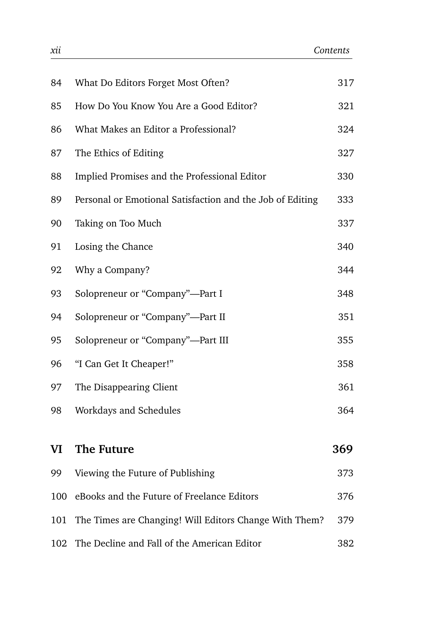| 84  | What Do Editors Forget Most Often?                        | 317 |
|-----|-----------------------------------------------------------|-----|
| 85  | How Do You Know You Are a Good Editor?                    | 321 |
| 86  | What Makes an Editor a Professional?                      | 324 |
| 87  | The Ethics of Editing                                     | 327 |
| 88  | Implied Promises and the Professional Editor              | 330 |
| 89  | Personal or Emotional Satisfaction and the Job of Editing | 333 |
| 90  | Taking on Too Much                                        | 337 |
| 91  | Losing the Chance                                         | 340 |
| 92  | Why a Company?                                            | 344 |
| 93  | Solopreneur or "Company"-Part I                           | 348 |
| 94  | Solopreneur or "Company"-Part II                          | 351 |
| 95  | Solopreneur or "Company"-Part III                         | 355 |
| 96  | "I Can Get It Cheaper!"                                   | 358 |
| 97  | The Disappearing Client                                   | 361 |
| 98  | Workdays and Schedules                                    | 364 |
|     |                                                           |     |
| VI  | The Future                                                | 369 |
| 99  | Viewing the Future of Publishing                          | 373 |
| 100 | eBooks and the Future of Freelance Editors                | 376 |
| 101 | The Times are Changing! Will Editors Change With Them?    | 379 |
| 102 | The Decline and Fall of the American Editor               | 382 |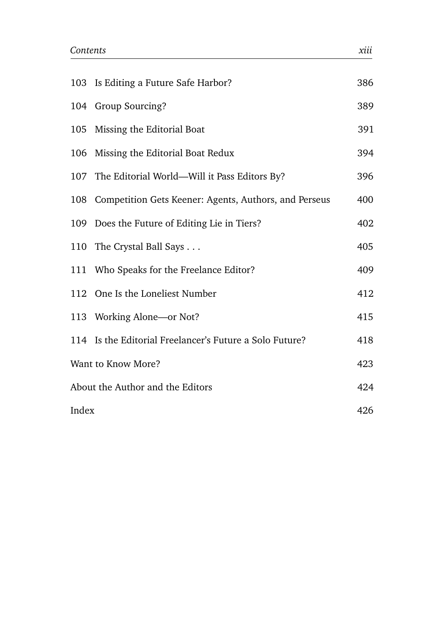|                                  | 103 Is Editing a Future Safe Harbor?                      | 386 |
|----------------------------------|-----------------------------------------------------------|-----|
|                                  | 104 Group Sourcing?                                       | 389 |
|                                  | 105 Missing the Editorial Boat                            | 391 |
|                                  | 106 Missing the Editorial Boat Redux                      | 394 |
|                                  | 107 The Editorial World—Will it Pass Editors By?          | 396 |
|                                  | 108 Competition Gets Keener: Agents, Authors, and Perseus | 400 |
|                                  | 109 Does the Future of Editing Lie in Tiers?              | 402 |
|                                  | 110 The Crystal Ball Says                                 | 405 |
|                                  | 111 Who Speaks for the Freelance Editor?                  | 409 |
|                                  | 112 One Is the Loneliest Number                           | 412 |
|                                  | 113 Working Alone—or Not?                                 | 415 |
|                                  | 114 Is the Editorial Freelancer's Future a Solo Future?   | 418 |
| Want to Know More?               |                                                           | 423 |
| About the Author and the Editors |                                                           | 424 |
| Index                            |                                                           | 426 |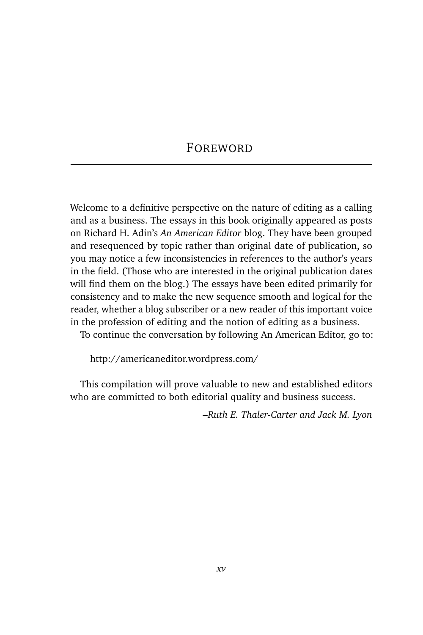### FOREWORD

Welcome to a definitive perspective on the nature of editing as a calling and as a business. The essays in this book originally appeared as posts on Richard H. Adin's *An American Editor* blog. They have been grouped and resequenced by topic rather than original date of publication, so you may notice a few inconsistencies in references to the author's years in the field. (Those who are interested in the original publication dates will find them on the blog.) The essays have been edited primarily for consistency and to make the new sequence smooth and logical for the reader, whether a blog subscriber or a new reader of this important voice in the profession of editing and the notion of editing as a business.

To continue the conversation by following An American Editor, go to:

http://americaneditor.wordpress.com/

This compilation will prove valuable to new and established editors who are committed to both editorial quality and business success.

*–Ruth E. Thaler-Carter and Jack M. Lyon*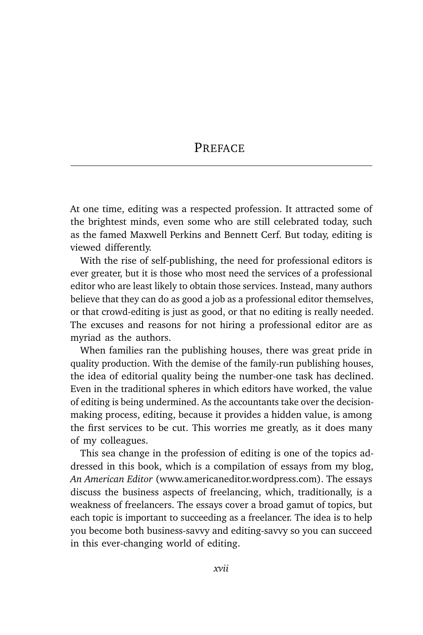#### **PREFACE**

At one time, editing was a respected profession. It attracted some of the brightest minds, even some who are still celebrated today, such as the famed Maxwell Perkins and Bennett Cerf. But today, editing is viewed differently.

With the rise of self-publishing, the need for professional editors is ever greater, but it is those who most need the services of a professional editor who are least likely to obtain those services. Instead, many authors believe that they can do as good a job as a professional editor themselves, or that crowd-editing is just as good, or that no editing is really needed. The excuses and reasons for not hiring a professional editor are as myriad as the authors.

When families ran the publishing houses, there was great pride in quality production. With the demise of the family-run publishing houses, the idea of editorial quality being the number-one task has declined. Even in the traditional spheres in which editors have worked, the value of editing is being undermined. As the accountants take over the decisionmaking process, editing, because it provides a hidden value, is among the first services to be cut. This worries me greatly, as it does many of my colleagues.

This sea change in the profession of editing is one of the topics addressed in this book, which is a compilation of essays from my blog, *An American Editor* (www.americaneditor.wordpress.com). The essays discuss the business aspects of freelancing, which, traditionally, is a weakness of freelancers. The essays cover a broad gamut of topics, but each topic is important to succeeding as a freelancer. The idea is to help you become both business-savvy and editing-savvy so you can succeed in this ever-changing world of editing.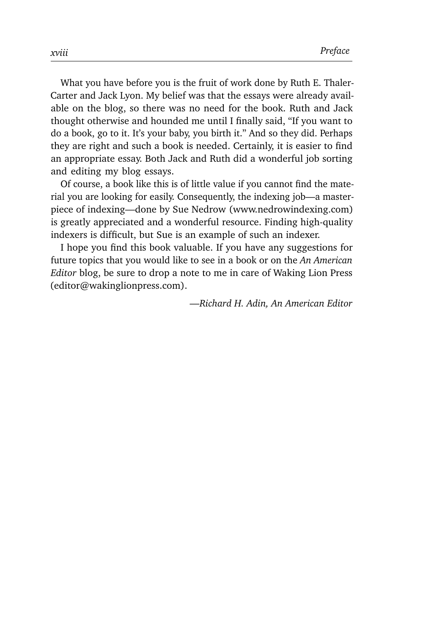What you have before you is the fruit of work done by Ruth E. Thaler-Carter and Jack Lyon. My belief was that the essays were already available on the blog, so there was no need for the book. Ruth and Jack thought otherwise and hounded me until I finally said, "If you want to do a book, go to it. It's your baby, you birth it." And so they did. Perhaps they are right and such a book is needed. Certainly, it is easier to find an appropriate essay. Both Jack and Ruth did a wonderful job sorting and editing my blog essays.

Of course, a book like this is of little value if you cannot find the material you are looking for easily. Consequently, the indexing job—a masterpiece of indexing—done by Sue Nedrow (www.nedrowindexing.com) is greatly appreciated and a wonderful resource. Finding high-quality indexers is difficult, but Sue is an example of such an indexer.

I hope you find this book valuable. If you have any suggestions for future topics that you would like to see in a book or on the *An American Editor* blog, be sure to drop a note to me in care of Waking Lion Press (editor@wakinglionpress.com).

*—Richard H. Adin, An American Editor*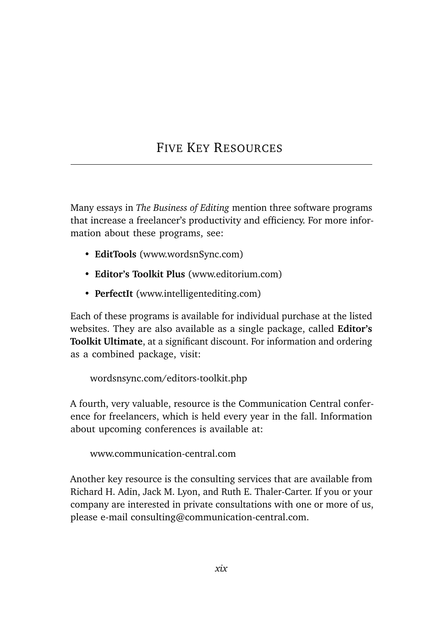## FIVE KEY RESOURCES

Many essays in *The Business of Editing* mention three software programs that increase a freelancer's productivity and efficiency. For more information about these programs, see:

- **EditTools** (www.wordsnSync.com)
- **Editor's Toolkit Plus** (www.editorium.com)
- **PerfectIt** (www.intelligentediting.com)

Each of these programs is available for individual purchase at the listed websites. They are also available as a single package, called **Editor's Toolkit Ultimate**, at a significant discount. For information and ordering as a combined package, visit:

wordsnsync.com/editors-toolkit.php

A fourth, very valuable, resource is the Communication Central conference for freelancers, which is held every year in the fall. Information about upcoming conferences is available at:

www.communication-central.com

Another key resource is the consulting services that are available from Richard H. Adin, Jack M. Lyon, and Ruth E. Thaler-Carter. If you or your company are interested in private consultations with one or more of us, please e-mail consulting@communication-central.com.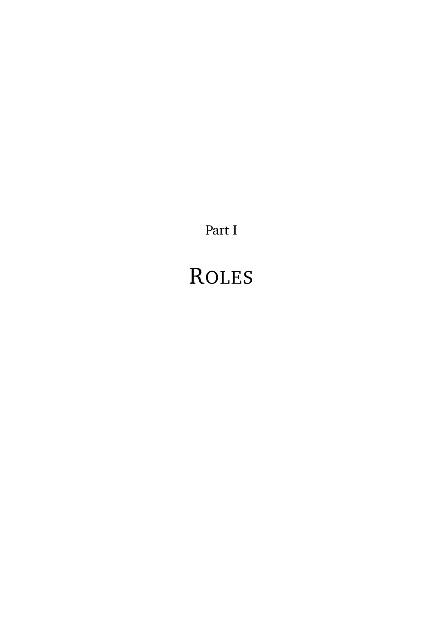Part I

# ROLES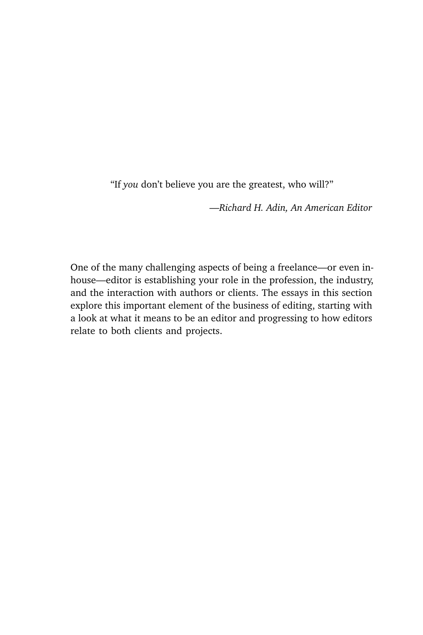"If *you* don't believe you are the greatest, who will?"

*—Richard H. Adin, An American Editor*

One of the many challenging aspects of being a freelance—or even inhouse—editor is establishing your role in the profession, the industry, and the interaction with authors or clients. The essays in this section explore this important element of the business of editing, starting with a look at what it means to be an editor and progressing to how editors relate to both clients and projects.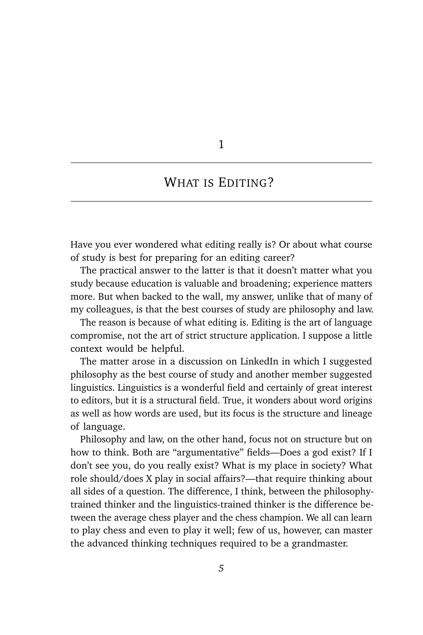1

### WHAT IS EDITING?

Have you ever wondered what editing really is? Or about what course of study is best for preparing for an editing career?

The practical answer to the latter is that it doesn't matter what you study because education is valuable and broadening; experience matters more. But when backed to the wall, my answer, unlike that of many of my colleagues, is that the best courses of study are philosophy and law.

The reason is because of what editing is. Editing is the art of language compromise, not the art of strict structure application. I suppose a little context would be helpful.

The matter arose in a discussion on LinkedIn in which I suggested philosophy as the best course of study and another member suggested linguistics. Linguistics is a wonderful field and certainly of great interest to editors, but it is a structural field. True, it wonders about word origins as well as how words are used, but its focus is the structure and lineage of language.

Philosophy and law, on the other hand, focus not on structure but on how to think. Both are "argumentative" fields—Does a god exist? If I don't see you, do you really exist? What is my place in society? What role should/does X play in social affairs?—that require thinking about all sides of a question. The difference, I think, between the philosophytrained thinker and the linguistics-trained thinker is the difference between the average chess player and the chess champion. We all can learn to play chess and even to play it well; few of us, however, can master the advanced thinking techniques required to be a grandmaster.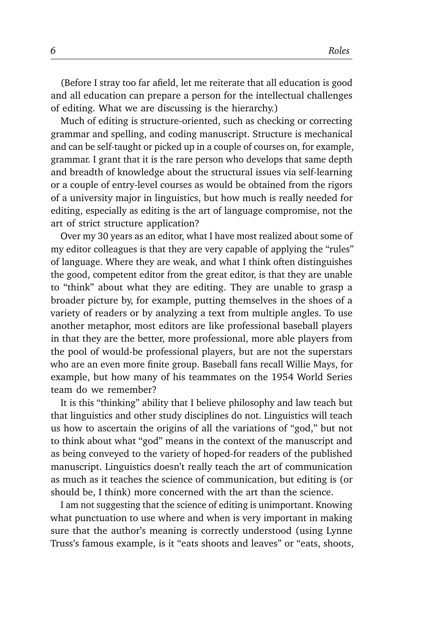(Before I stray too far afield, let me reiterate that all education is good and all education can prepare a person for the intellectual challenges of editing. What we are discussing is the hierarchy.)

Much of editing is structure-oriented, such as checking or correcting grammar and spelling, and coding manuscript. Structure is mechanical and can be self-taught or picked up in a couple of courses on, for example, grammar. I grant that it is the rare person who develops that same depth and breadth of knowledge about the structural issues via self-learning or a couple of entry-level courses as would be obtained from the rigors of a university major in linguistics, but how much is really needed for editing, especially as editing is the art of language compromise, not the art of strict structure application?

Over my 30 years as an editor, what I have most realized about some of my editor colleagues is that they are very capable of applying the "rules" of language. Where they are weak, and what I think often distinguishes the good, competent editor from the great editor, is that they are unable to "think" about what they are editing. They are unable to grasp a broader picture by, for example, putting themselves in the shoes of a variety of readers or by analyzing a text from multiple angles. To use another metaphor, most editors are like professional baseball players in that they are the better, more professional, more able players from the pool of would-be professional players, but are not the superstars who are an even more finite group. Baseball fans recall Willie Mays, for example, but how many of his teammates on the 1954 World Series team do we remember?

It is this "thinking" ability that I believe philosophy and law teach but that linguistics and other study disciplines do not. Linguistics will teach us how to ascertain the origins of all the variations of "god," but not to think about what "god" means in the context of the manuscript and as being conveyed to the variety of hoped-for readers of the published manuscript. Linguistics doesn't really teach the art of communication as much as it teaches the science of communication, but editing is (or should be, I think) more concerned with the art than the science.

I am not suggesting that the science of editing is unimportant. Knowing what punctuation to use where and when is very important in making sure that the author's meaning is correctly understood (using Lynne Truss's famous example, is it "eats shoots and leaves" or "eats, shoots,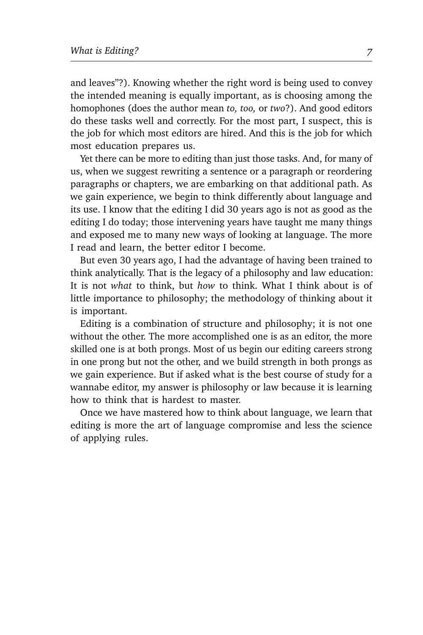and leaves"?). Knowing whether the right word is being used to convey the intended meaning is equally important, as is choosing among the homophones (does the author mean *to, too,* or *two*?). And good editors do these tasks well and correctly. For the most part, I suspect, this is the job for which most editors are hired. And this is the job for which most education prepares us.

Yet there can be more to editing than just those tasks. And, for many of us, when we suggest rewriting a sentence or a paragraph or reordering paragraphs or chapters, we are embarking on that additional path. As we gain experience, we begin to think differently about language and its use. I know that the editing I did 30 years ago is not as good as the editing I do today; those intervening years have taught me many things and exposed me to many new ways of looking at language. The more I read and learn, the better editor I become.

But even 30 years ago, I had the advantage of having been trained to think analytically. That is the legacy of a philosophy and law education: It is not *what* to think, but *how* to think. What I think about is of little importance to philosophy; the methodology of thinking about it is important.

Editing is a combination of structure and philosophy; it is not one without the other. The more accomplished one is as an editor, the more skilled one is at both prongs. Most of us begin our editing careers strong in one prong but not the other, and we build strength in both prongs as we gain experience. But if asked what is the best course of study for a wannabe editor, my answer is philosophy or law because it is learning how to think that is hardest to master.

Once we have mastered how to think about language, we learn that editing is more the art of language compromise and less the science of applying rules.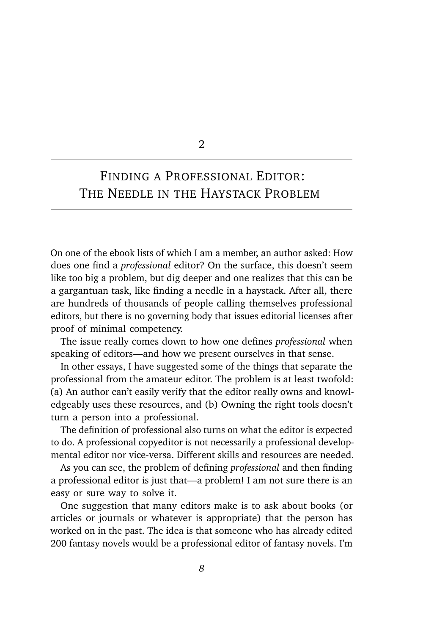2

## FINDING A PROFESSIONAL EDITOR: THE NEEDLE IN THE HAYSTACK PROBLEM

On one of the ebook lists of which I am a member, an author asked: How does one find a *professional* editor? On the surface, this doesn't seem like too big a problem, but dig deeper and one realizes that this can be a gargantuan task, like finding a needle in a haystack. After all, there are hundreds of thousands of people calling themselves professional editors, but there is no governing body that issues editorial licenses after proof of minimal competency.

The issue really comes down to how one defines *professional* when speaking of editors—and how we present ourselves in that sense.

In other essays, I have suggested some of the things that separate the professional from the amateur editor. The problem is at least twofold: (a) An author can't easily verify that the editor really owns and knowledgeably uses these resources, and (b) Owning the right tools doesn't turn a person into a professional.

The definition of professional also turns on what the editor is expected to do. A professional copyeditor is not necessarily a professional developmental editor nor vice-versa. Different skills and resources are needed.

As you can see, the problem of defining *professional* and then finding a professional editor is just that—a problem! I am not sure there is an easy or sure way to solve it.

One suggestion that many editors make is to ask about books (or articles or journals or whatever is appropriate) that the person has worked on in the past. The idea is that someone who has already edited 200 fantasy novels would be a professional editor of fantasy novels. I'm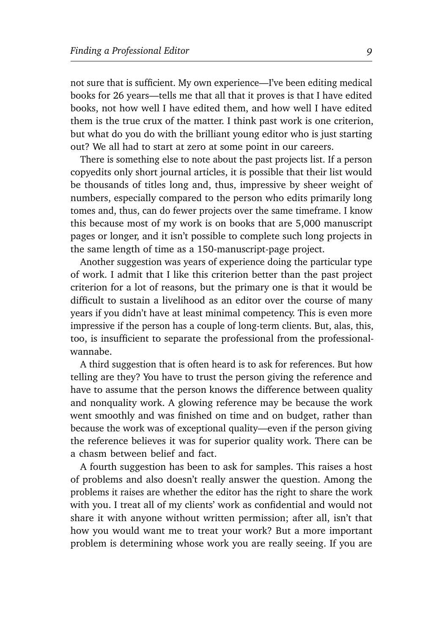not sure that is sufficient. My own experience—I've been editing medical books for 26 years—tells me that all that it proves is that I have edited books, not how well I have edited them, and how well I have edited them is the true crux of the matter. I think past work is one criterion, but what do you do with the brilliant young editor who is just starting out? We all had to start at zero at some point in our careers.

There is something else to note about the past projects list. If a person copyedits only short journal articles, it is possible that their list would be thousands of titles long and, thus, impressive by sheer weight of numbers, especially compared to the person who edits primarily long tomes and, thus, can do fewer projects over the same timeframe. I know this because most of my work is on books that are 5,000 manuscript pages or longer, and it isn't possible to complete such long projects in the same length of time as a 150-manuscript-page project.

Another suggestion was years of experience doing the particular type of work. I admit that I like this criterion better than the past project criterion for a lot of reasons, but the primary one is that it would be difficult to sustain a livelihood as an editor over the course of many years if you didn't have at least minimal competency. This is even more impressive if the person has a couple of long-term clients. But, alas, this, too, is insufficient to separate the professional from the professionalwannabe.

A third suggestion that is often heard is to ask for references. But how telling are they? You have to trust the person giving the reference and have to assume that the person knows the difference between quality and nonquality work. A glowing reference may be because the work went smoothly and was finished on time and on budget, rather than because the work was of exceptional quality—even if the person giving the reference believes it was for superior quality work. There can be a chasm between belief and fact.

A fourth suggestion has been to ask for samples. This raises a host of problems and also doesn't really answer the question. Among the problems it raises are whether the editor has the right to share the work with you. I treat all of my clients' work as confidential and would not share it with anyone without written permission; after all, isn't that how you would want me to treat your work? But a more important problem is determining whose work you are really seeing. If you are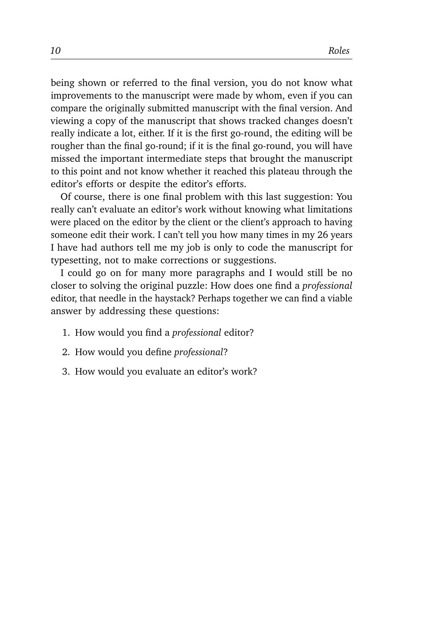being shown or referred to the final version, you do not know what improvements to the manuscript were made by whom, even if you can compare the originally submitted manuscript with the final version. And viewing a copy of the manuscript that shows tracked changes doesn't really indicate a lot, either. If it is the first go-round, the editing will be rougher than the final go-round; if it is the final go-round, you will have missed the important intermediate steps that brought the manuscript to this point and not know whether it reached this plateau through the editor's efforts or despite the editor's efforts.

Of course, there is one final problem with this last suggestion: You really can't evaluate an editor's work without knowing what limitations were placed on the editor by the client or the client's approach to having someone edit their work. I can't tell you how many times in my 26 years I have had authors tell me my job is only to code the manuscript for typesetting, not to make corrections or suggestions.

I could go on for many more paragraphs and I would still be no closer to solving the original puzzle: How does one find a *professional* editor, that needle in the haystack? Perhaps together we can find a viable answer by addressing these questions:

- 1. How would you find a *professional* editor?
- 2. How would you define *professional*?
- 3. How would you evaluate an editor's work?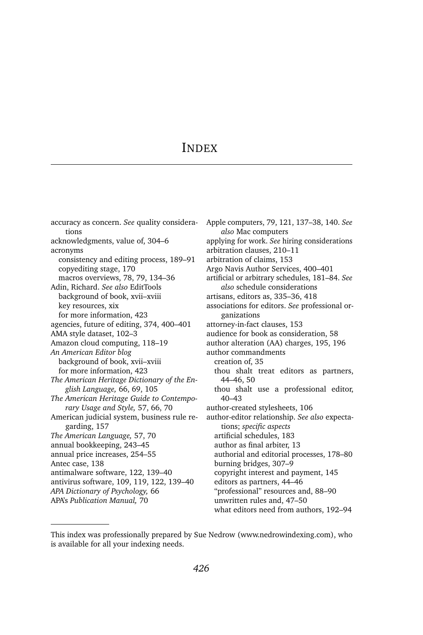#### INDEX

accuracy as concern. *See* quality considerations acknowledgments, value of, 304–6 acronyms consistency and editing process, 189–91 copyediting stage, 170 macros overviews, 78, 79, 134–36 Adin, Richard. *See also* EditTools background of book, xvii–xviii key resources, xix for more information, 423 agencies, future of editing, 374, 400–401 AMA style dataset, 102–3 Amazon cloud computing, 118–19 *An American Editor blog* background of book, xvii–xviii for more information, 423 *The American Heritage Dictionary of the English Language,* 66, 69, 105 *The American Heritage Guide to Contemporary Usage and Style,* 57, 66, 70 American judicial system, business rule regarding, 157 *The American Language,* 57, 70 annual bookkeeping, 243–45 annual price increases, 254–55 Antec case, 138 antimalware software, 122, 139–40 antivirus software, 109, 119, 122, 139–40 *APA Dictionary of Psychology,* 66 APA's *Publication Manual,* 70

Apple computers, 79, 121, 137–38, 140. *See also* Mac computers applying for work. *See* hiring considerations arbitration clauses, 210–11 arbitration of claims, 153 Argo Navis Author Services, 400–401 artificial or arbitrary schedules, 181–84. *See also* schedule considerations artisans, editors as, 335–36, 418 associations for editors. *See* professional organizations attorney-in-fact clauses, 153 audience for book as consideration, 58 author alteration (AA) charges, 195, 196 author commandments creation of, 35 thou shalt treat editors as partners, 44–46, 50 thou shalt use a professional editor, 40–43 author-created stylesheets, 106 author-editor relationship. *See also* expectations; *specific aspects* artificial schedules, 183 author as final arbiter, 13 authorial and editorial processes, 178–80 burning bridges, 307–9 copyright interest and payment, 145 editors as partners, 44–46 "professional" resources and, 88–90 unwritten rules and, 47–50 what editors need from authors, 192–94

This index was professionally prepared by Sue Nedrow (www.nedrowindexing.com), who is available for all your indexing needs.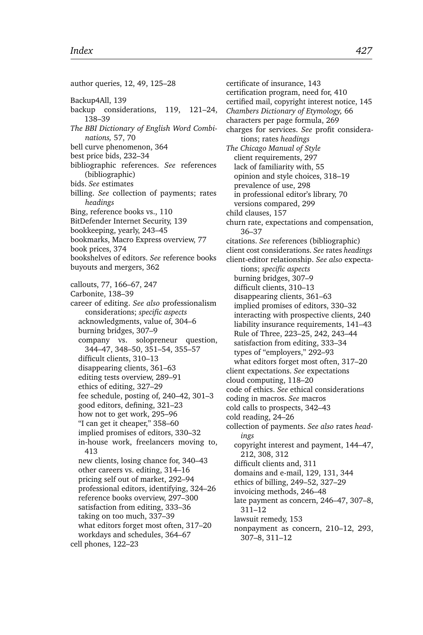author queries, 12, 49, 125–28 Backup4All, 139 backup considerations, 119, 121–24, 138–39 *The BBI Dictionary of English Word Combinations,* 57, 70 bell curve phenomenon, 364 best price bids, 232–34 bibliographic references. *See* references (bibliographic) bids. *See* estimates billing. *See* collection of payments; rates *headings* Bing, reference books vs., 110 BitDefender Internet Security, 139 bookkeeping, yearly, 243–45 bookmarks, Macro Express overview, 77 book prices, 374 bookshelves of editors. *See* reference books buyouts and mergers, 362 callouts, 77, 166–67, 247 Carbonite, 138–39 career of editing. *See also* professionalism considerations; *specific aspects* acknowledgments, value of, 304–6 burning bridges, 307–9 company vs. solopreneur question, 344–47, 348–50, 351–54, 355–57 difficult clients, 310–13 disappearing clients, 361–63 editing tests overview, 289–91 ethics of editing, 327–29 fee schedule, posting of, 240–42, 301–3 good editors, defining, 321–23 how not to get work, 295–96 "I can get it cheaper," 358–60 implied promises of editors, 330–32 in-house work, freelancers moving to, 413 new clients, losing chance for, 340–43 other careers vs. editing, 314–16 pricing self out of market, 292–94 professional editors, identifying, 324–26 reference books overview, 297–300 satisfaction from editing, 333–36 taking on too much, 337–39 what editors forget most often, 317–20 workdays and schedules, 364–67 cell phones, 122–23

certificate of insurance, 143 certification program, need for, 410 certified mail, copyright interest notice, 145 *Chambers Dictionary of Etymology,* 66 characters per page formula, 269 charges for services. *See* profit considerations; rates *headings The Chicago Manual of Style* client requirements, 297 lack of familiarity with, 55 opinion and style choices, 318–19 prevalence of use, 298 in professional editor's library, 70 versions compared, 299 child clauses, 157 churn rate, expectations and compensation, 36–37 citations. *See* references (bibliographic) client cost considerations. *See* rates *headings* client-editor relationship. *See also* expectations; *specific aspects* burning bridges, 307–9 difficult clients, 310–13 disappearing clients, 361–63 implied promises of editors, 330–32 interacting with prospective clients, 240 liability insurance requirements, 141–43 Rule of Three, 223–25, 242, 243–44 satisfaction from editing, 333–34 types of "employers," 292–93 what editors forget most often, 317–20 client expectations. *See* expectations cloud computing, 118–20 code of ethics. *See* ethical considerations coding in macros. *See* macros cold calls to prospects, 342–43 cold reading, 24–26 collection of payments. *See also* rates *headings* copyright interest and payment, 144–47, 212, 308, 312 difficult clients and, 311 domains and e-mail, 129, 131, 344 ethics of billing, 249–52, 327–29 invoicing methods, 246–48 late payment as concern, 246–47, 307–8, 311–12 lawsuit remedy, 153 nonpayment as concern, 210–12, 293, 307–8, 311–12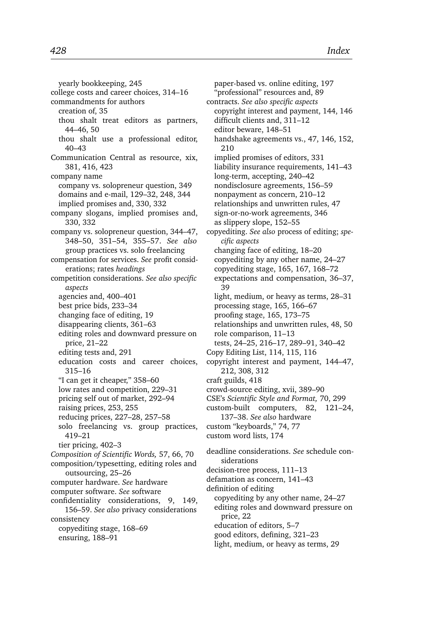yearly bookkeeping, 245 college costs and career choices, 314–16 commandments for authors creation of, 35 thou shalt treat editors as partners, 44–46, 50 thou shalt use a professional editor, 40–43 Communication Central as resource, xix, 381, 416, 423 company name company vs. solopreneur question, 349 domains and e-mail, 129–32, 248, 344 implied promises and, 330, 332 company slogans, implied promises and, 330, 332 company vs. solopreneur question, 344–47, 348–50, 351–54, 355–57. *See also* group practices vs. solo freelancing compensation for services. *See* profit considerations; rates *headings* competition considerations. *See also specific aspects* agencies and, 400–401 best price bids, 233–34 changing face of editing, 19 disappearing clients, 361–63 editing roles and downward pressure on price, 21–22 editing tests and, 291 education costs and career choices, 315–16 "I can get it cheaper," 358–60 low rates and competition, 229–31 pricing self out of market, 292–94 raising prices, 253, 255 reducing prices, 227–28, 257–58 solo freelancing vs. group practices, 419–21 tier pricing, 402–3 *Composition of Scientific Words,* 57, 66, 70 composition/typesetting, editing roles and outsourcing, 25–26 computer hardware. *See* hardware computer software. *See* software confidentiality considerations, 9, 149, 156–59. *See also* privacy considerations consistency copyediting stage, 168–69 ensuring, 188–91

paper-based vs. online editing, 197 "professional" resources and, 89 contracts. *See also specific aspects* copyright interest and payment, 144, 146 difficult clients and, 311–12 editor beware, 148–51 handshake agreements vs., 47, 146, 152, 210 implied promises of editors, 331 liability insurance requirements, 141–43 long-term, accepting, 240–42 nondisclosure agreements, 156–59 nonpayment as concern, 210–12 relationships and unwritten rules, 47 sign-or-no-work agreements, 346 as slippery slope, 152–55 copyediting. *See also* process of editing; *specific aspects* changing face of editing, 18–20 copyediting by any other name, 24–27 copyediting stage, 165, 167, 168–72 expectations and compensation, 36–37, 39 light, medium, or heavy as terms, 28–31 processing stage, 165, 166–67 proofing stage, 165, 173–75 relationships and unwritten rules, 48, 50 role comparison, 11–13 tests, 24–25, 216–17, 289–91, 340–42 Copy Editing List, 114, 115, 116 copyright interest and payment, 144–47, 212, 308, 312 craft guilds, 418 crowd-source editing, xvii, 389–90 CSE's *Scientific Style and Format,* 70, 299 custom-built computers, 82, 121–24, 137–38. *See also* hardware custom "keyboards," 74, 77 custom word lists, 174 deadline considerations. *See* schedule considerations decision-tree process, 111–13 defamation as concern, 141–43 definition of editing copyediting by any other name, 24–27 editing roles and downward pressure on price, 22 education of editors, 5–7

- good editors, defining, 321–23
- light, medium, or heavy as terms, 29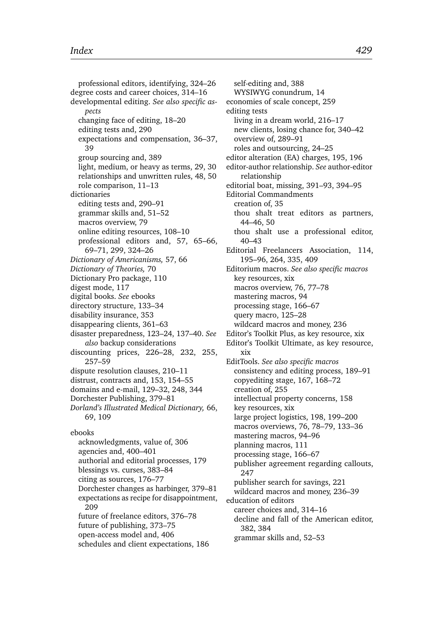professional editors, identifying, 324–26 degree costs and career choices, 314–16 developmental editing. *See also specific aspects* changing face of editing, 18–20 editing tests and, 290 expectations and compensation, 36–37, 39 group sourcing and, 389 light, medium, or heavy as terms, 29, 30 relationships and unwritten rules, 48, 50 role comparison, 11–13 dictionaries editing tests and, 290–91 grammar skills and, 51–52 macros overview, 79 online editing resources, 108–10 professional editors and, 57, 65–66, 69–71, 299, 324–26 *Dictionary of Americanisms,* 57, 66 *Dictionary of Theories,* 70 Dictionary Pro package, 110 digest mode, 117 digital books. *See* ebooks directory structure, 133–34 disability insurance, 353 disappearing clients, 361–63 disaster preparedness, 123–24, 137–40. *See also* backup considerations discounting prices, 226–28, 232, 255, 257–59 dispute resolution clauses, 210–11 distrust, contracts and, 153, 154–55 domains and e-mail, 129–32, 248, 344 Dorchester Publishing, 379–81 *Dorland's Illustrated Medical Dictionary,* 66, 69, 109 ebooks acknowledgments, value of, 306 agencies and, 400–401 authorial and editorial processes, 179 blessings vs. curses, 383–84 citing as sources, 176–77 Dorchester changes as harbinger, 379–81 expectations as recipe for disappointment, 209 future of freelance editors, 376–78 future of publishing, 373–75 open-access model and, 406

schedules and client expectations, 186

self-editing and, 388 WYSIWYG conundrum, 14 economies of scale concept, 259 editing tests living in a dream world, 216–17 new clients, losing chance for, 340–42 overview of, 289–91 roles and outsourcing, 24–25 editor alteration (EA) charges, 195, 196 editor-author relationship. *See* author-editor relationship editorial boat, missing, 391–93, 394–95 Editorial Commandments creation of, 35 thou shalt treat editors as partners, 44–46, 50 thou shalt use a professional editor, 40–43 Editorial Freelancers Association, 114, 195–96, 264, 335, 409 Editorium macros. *See also specific macros* key resources, xix macros overview, 76, 77–78 mastering macros, 94 processing stage, 166–67 query macro, 125–28 wildcard macros and money, 236 Editor's Toolkit Plus, as key resource, xix Editor's Toolkit Ultimate, as key resource, xix EditTools. *See also specific macros* consistency and editing process, 189–91 copyediting stage, 167, 168–72 creation of, 255 intellectual property concerns, 158 key resources, xix large project logistics, 198, 199–200 macros overviews, 76, 78–79, 133–36 mastering macros, 94–96 planning macros, 111 processing stage, 166–67 publisher agreement regarding callouts, 247 publisher search for savings, 221 wildcard macros and money, 236–39 education of editors career choices and, 314–16 decline and fall of the American editor, 382, 384 grammar skills and, 52–53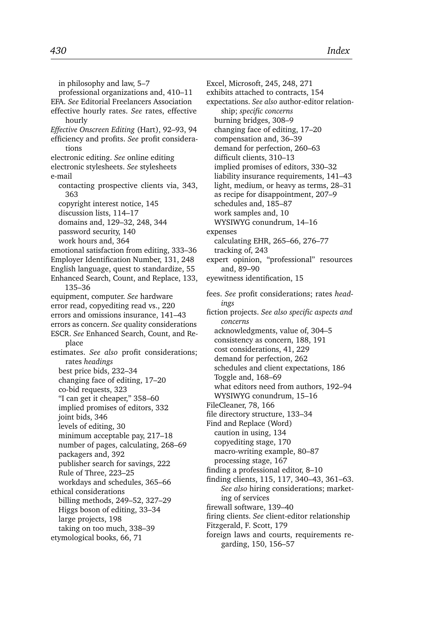in philosophy and law, 5–7 professional organizations and, 410–11 EFA. *See* Editorial Freelancers Association effective hourly rates. *See* rates, effective hourly *Effective Onscreen Editing* (Hart), 92–93, 94 efficiency and profits. *See* profit considerations electronic editing. *See* online editing electronic stylesheets. *See* stylesheets e-mail contacting prospective clients via, 343, 363 copyright interest notice, 145 discussion lists, 114–17 domains and, 129–32, 248, 344 password security, 140 work hours and, 364 emotional satisfaction from editing, 333–36 Employer Identification Number, 131, 248 English language, quest to standardize, 55 Enhanced Search, Count, and Replace, 133, 135–36 equipment, computer. *See* hardware error read, copyediting read vs., 220 errors and omissions insurance, 141–43 errors as concern. *See* quality considerations ESCR. *See* Enhanced Search, Count, and Replace estimates. *See also* profit considerations; rates *headings* best price bids, 232–34 changing face of editing, 17–20 co-bid requests, 323 "I can get it cheaper," 358–60 implied promises of editors, 332 joint bids, 346 levels of editing, 30 minimum acceptable pay, 217–18 number of pages, calculating, 268–69 packagers and, 392 publisher search for savings, 222 Rule of Three, 223–25 workdays and schedules, 365–66 ethical considerations billing methods, 249–52, 327–29 Higgs boson of editing, 33–34 large projects, 198 taking on too much, 338–39 etymological books, 66, 71

Excel, Microsoft, 245, 248, 271 exhibits attached to contracts, 154 expectations. *See also* author-editor relationship; *specific concerns* burning bridges, 308–9 changing face of editing, 17–20 compensation and, 36–39 demand for perfection, 260–63 difficult clients, 310–13 implied promises of editors, 330–32 liability insurance requirements, 141–43 light, medium, or heavy as terms, 28–31 as recipe for disappointment, 207–9 schedules and, 185–87 work samples and, 10 WYSIWYG conundrum, 14–16 expenses calculating EHR, 265–66, 276–77 tracking of, 243 expert opinion, "professional" resources and, 89–90 eyewitness identification, 15 fees. *See* profit considerations; rates *headings* fiction projects. *See also specific aspects and concerns* acknowledgments, value of, 304–5 consistency as concern, 188, 191 cost considerations, 41, 229 demand for perfection, 262 schedules and client expectations, 186 Toggle and, 168–69 what editors need from authors, 192–94 WYSIWYG conundrum, 15–16 FileCleaner, 78, 166 file directory structure, 133–34 Find and Replace (Word) caution in using, 134 copyediting stage, 170 macro-writing example, 80–87 processing stage, 167 finding a professional editor, 8–10 finding clients, 115, 117, 340–43, 361–63. *See also* hiring considerations; marketing of services firewall software, 139–40 firing clients. *See* client-editor relationship Fitzgerald, F. Scott, 179 foreign laws and courts, requirements regarding, 150, 156–57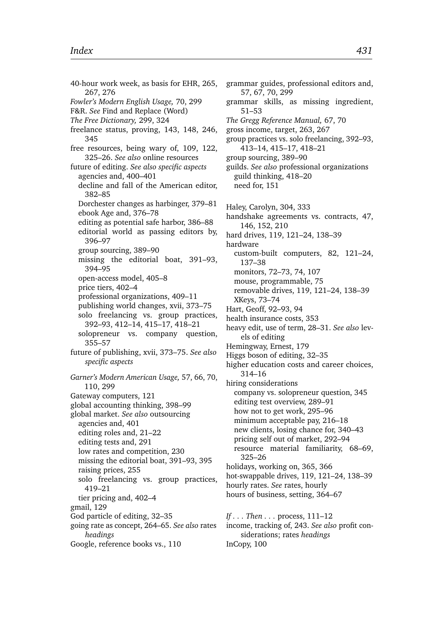40-hour work week, as basis for EHR, 265, 267, 276 *Fowler's Modern English Usage,* 70, 299 F&R. *See* Find and Replace (Word) *The Free Dictionary,* 299, 324 freelance status, proving, 143, 148, 246, 345 free resources, being wary of, 109, 122, 325–26. *See also* online resources future of editing. *See also specific aspects* agencies and, 400–401 decline and fall of the American editor, 382–85 Dorchester changes as harbinger, 379–81 ebook Age and, 376–78 editing as potential safe harbor, 386–88 editorial world as passing editors by, 396–97 group sourcing, 389–90 missing the editorial boat, 391–93, 394–95 open-access model, 405–8 price tiers, 402–4 professional organizations, 409–11 publishing world changes, xvii, 373–75 solo freelancing vs. group practices, 392–93, 412–14, 415–17, 418–21 solopreneur vs. company question, 355–57 future of publishing, xvii, 373–75. *See also specific aspects Garner's Modern American Usage,* 57, 66, 70, 110, 299 Gateway computers, 121 global accounting thinking, 398–99 global market. *See also* outsourcing agencies and, 401 editing roles and, 21–22 editing tests and, 291 low rates and competition, 230 missing the editorial boat, 391–93, 395 raising prices, 255 solo freelancing vs. group practices, 419–21 tier pricing and, 402–4 gmail, 129 God particle of editing, 32–35 going rate as concept, 264–65. *See also* rates *headings*

Google, reference books vs., 110

grammar guides, professional editors and, 57, 67, 70, 299 grammar skills, as missing ingredient, 51–53 *The Gregg Reference Manual,* 67, 70 gross income, target, 263, 267 group practices vs. solo freelancing, 392–93, 413–14, 415–17, 418–21 group sourcing, 389–90 guilds. *See also* professional organizations guild thinking, 418–20 need for, 151 Haley, Carolyn, 304, 333 handshake agreements vs. contracts, 47, 146, 152, 210 hard drives, 119, 121–24, 138–39 hardware custom-built computers, 82, 121–24, 137–38 monitors, 72–73, 74, 107 mouse, programmable, 75 removable drives, 119, 121–24, 138–39 XKeys, 73–74 Hart, Geoff, 92–93, 94 health insurance costs, 353 heavy edit, use of term, 28–31. *See also* levels of editing Hemingway, Ernest, 179 Higgs boson of editing, 32–35 higher education costs and career choices, 314–16 hiring considerations company vs. solopreneur question, 345 editing test overview, 289–91 how not to get work, 295–96 minimum acceptable pay, 216–18 new clients, losing chance for, 340–43 pricing self out of market, 292–94 resource material familiarity, 68–69, 325–26 holidays, working on, 365, 366 hot-swappable drives, 119, 121–24, 138–39 hourly rates. *See* rates, hourly hours of business, setting, 364–67 *If . . . Then . . .* process, 111–12 income, tracking of, 243. *See also* profit considerations; rates *headings*

InCopy, 100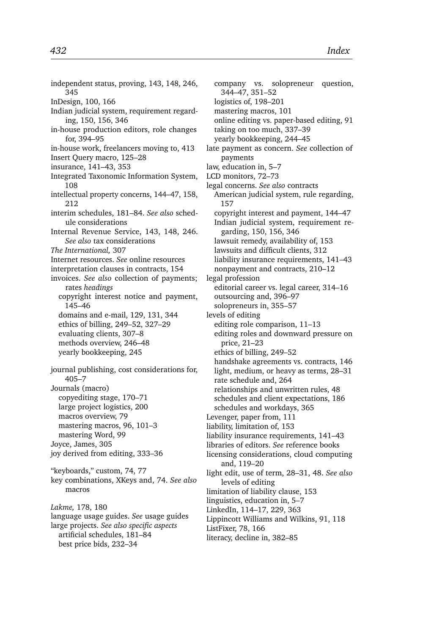independent status, proving, 143, 148, 246, 345 InDesign, 100, 166 Indian judicial system, requirement regarding, 150, 156, 346 in-house production editors, role changes for, 394–95 in-house work, freelancers moving to, 413 Insert Query macro, 125–28 insurance, 141–43, 353 Integrated Taxonomic Information System, 108 intellectual property concerns, 144–47, 158, 212 interim schedules, 181–84. *See also* schedule considerations Internal Revenue Service, 143, 148, 246. *See also* tax considerations *The International,* 307 Internet resources. *See* online resources interpretation clauses in contracts, 154 invoices. *See also* collection of payments; rates *headings* copyright interest notice and payment, 145–46 domains and e-mail, 129, 131, 344 ethics of billing, 249–52, 327–29 evaluating clients, 307–8 methods overview, 246–48 yearly bookkeeping, 245 journal publishing, cost considerations for, 405–7 Journals (macro) copyediting stage, 170–71 large project logistics, 200 macros overview, 79 mastering macros, 96, 101–3 mastering Word, 99 Joyce, James, 305 joy derived from editing, 333–36 "keyboards," custom, 74, 77 key combinations, XKeys and, 74. *See also* macros *Lakme,* 178, 180 language usage guides. *See* usage guides

large projects. *See also specific aspects* artificial schedules, 181–84 best price bids, 232–34

company vs. solopreneur question, 344–47, 351–52 logistics of, 198–201 mastering macros, 101 online editing vs. paper-based editing, 91 taking on too much, 337–39 yearly bookkeeping, 244–45 late payment as concern. *See* collection of payments law, education in, 5–7 LCD monitors, 72–73 legal concerns. *See also* contracts American judicial system, rule regarding, 157 copyright interest and payment, 144–47 Indian judicial system, requirement regarding, 150, 156, 346 lawsuit remedy, availability of, 153 lawsuits and difficult clients, 312 liability insurance requirements, 141–43 nonpayment and contracts, 210–12 legal profession editorial career vs. legal career, 314–16 outsourcing and, 396–97 solopreneurs in, 355–57 levels of editing editing role comparison, 11–13 editing roles and downward pressure on price, 21–23 ethics of billing, 249–52 handshake agreements vs. contracts, 146 light, medium, or heavy as terms, 28–31 rate schedule and, 264 relationships and unwritten rules, 48 schedules and client expectations, 186 schedules and workdays, 365 Levenger, paper from, 111 liability, limitation of, 153 liability insurance requirements, 141–43 libraries of editors. *See* reference books licensing considerations, cloud computing and, 119–20 light edit, use of term, 28–31, 48. *See also* levels of editing limitation of liability clause, 153 linguistics, education in, 5–7 LinkedIn, 114–17, 229, 363 Lippincott Williams and Wilkins, 91, 118 ListFixer, 78, 166 literacy, decline in, 382–85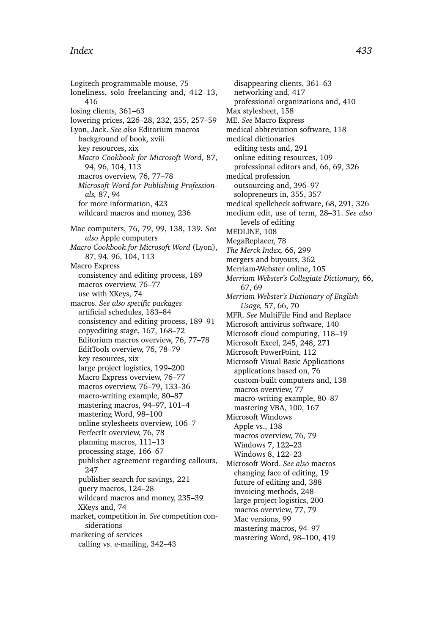Logitech programmable mouse, 75 loneliness, solo freelancing and, 412–13, 416 losing clients, 361–63 lowering prices, 226–28, 232, 255, 257–59 Lyon, Jack. *See also* Editorium macros background of book, xviii key resources, xix *Macro Cookbook for Microsoft Word,* 87, 94, 96, 104, 113 macros overview, 76, 77–78 *Microsoft Word for Publishing Professionals,* 87, 94 for more information, 423 wildcard macros and money, 236 Mac computers, 76, 79, 99, 138, 139. *See also* Apple computers *Macro Cookbook for Microsoft Word* (Lyon), 87, 94, 96, 104, 113 Macro Express consistency and editing process, 189 macros overview, 76–77 use with XKeys, 74 macros. *See also specific packages* artificial schedules, 183–84 consistency and editing process, 189–91 copyediting stage, 167, 168–72 Editorium macros overview, 76, 77–78 EditTools overview, 76, 78–79 key resources, xix large project logistics, 199–200 Macro Express overview, 76–77 macros overview, 76–79, 133–36 macro-writing example, 80–87 mastering macros, 94–97, 101–4 mastering Word, 98–100 online stylesheets overview, 106–7 PerfectIt overview, 76, 78 planning macros, 111–13 processing stage, 166–67 publisher agreement regarding callouts, 247 publisher search for savings, 221 query macros, 124–28 wildcard macros and money, 235–39 XKeys and, 74 market, competition in. *See* competition considerations marketing of services

calling vs. e-mailing, 342–43

disappearing clients, 361–63 networking and, 417 professional organizations and, 410 Max stylesheet, 158 ME. *See* Macro Express medical abbreviation software, 118 medical dictionaries editing tests and, 291 online editing resources, 109 professional editors and, 66, 69, 326 medical profession outsourcing and, 396–97 solopreneurs in, 355, 357 medical spellcheck software, 68, 291, 326 medium edit, use of term, 28–31. *See also* levels of editing MEDLINE, 108 MegaReplacer, 78 *The Merck Index,* 66, 299 mergers and buyouts, 362 Merriam-Webster online, 105 *Merriam Webster's Collegiate Dictionary,* 66, 67, 69 *Merriam Webster's Dictionary of English Usage,* 57, 66, 70 MFR. *See* MultiFile Find and Replace Microsoft antivirus software, 140 Microsoft cloud computing, 118–19 Microsoft Excel, 245, 248, 271 Microsoft PowerPoint, 112 Microsoft Visual Basic Applications applications based on, 76 custom-built computers and, 138 macros overview, 77 macro-writing example, 80–87 mastering VBA, 100, 167 Microsoft Windows Apple vs., 138 macros overview, 76, 79 Windows 7, 122–23 Windows 8, 122–23 Microsoft Word. *See also* macros changing face of editing, 19 future of editing and, 388 invoicing methods, 248 large project logistics, 200 macros overview, 77, 79 Mac versions, 99 mastering macros, 94–97 mastering Word, 98–100, 419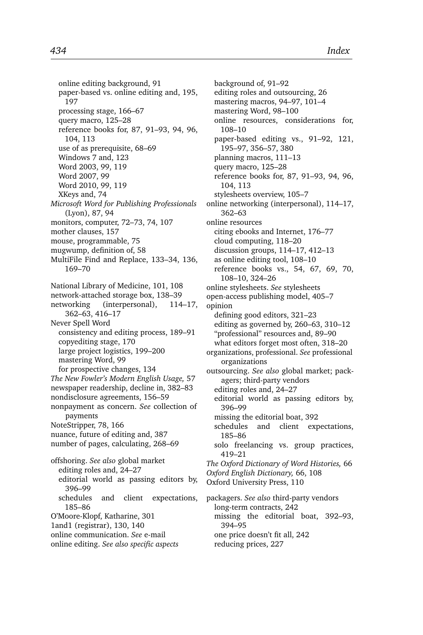online editing background, 91 paper-based vs. online editing and, 195, 197 processing stage, 166–67 query macro, 125–28 reference books for, 87, 91–93, 94, 96, 104, 113 use of as prerequisite, 68–69 Windows 7 and, 123 Word 2003, 99, 119 Word 2007, 99 Word 2010, 99, 119 XKeys and, 74 *Microsoft Word for Publishing Professionals* (Lyon), 87, 94 monitors, computer, 72–73, 74, 107 mother clauses, 157 mouse, programmable, 75 mugwump, definition of, 58 MultiFile Find and Replace, 133–34, 136, 169–70 National Library of Medicine, 101, 108 network-attached storage box, 138–39 networking (interpersonal), 114–17, 362–63, 416–17 Never Spell Word consistency and editing process, 189–91 copyediting stage, 170 large project logistics, 199–200 mastering Word, 99 for prospective changes, 134 *The New Fowler's Modern English Usage,* 57 newspaper readership, decline in, 382–83 nondisclosure agreements, 156–59 nonpayment as concern. *See* collection of payments NoteStripper, 78, 166 nuance, future of editing and, 387 number of pages, calculating, 268–69 offshoring. *See also* global market editing roles and, 24–27 editorial world as passing editors by, 396–99 schedules and client expectations, 185–86 O'Moore-Klopf, Katharine, 301 1and1 (registrar), 130, 140 online communication. *See* e-mail

online editing. *See also specific aspects*

background of, 91–92 editing roles and outsourcing, 26 mastering macros, 94–97, 101–4 mastering Word, 98–100 online resources, considerations for, 108–10 paper-based editing vs., 91–92, 121, 195–97, 356–57, 380 planning macros, 111–13 query macro, 125–28 reference books for, 87, 91–93, 94, 96, 104, 113 stylesheets overview, 105–7 online networking (interpersonal), 114–17, 362–63 online resources citing ebooks and Internet, 176–77 cloud computing, 118–20 discussion groups, 114–17, 412–13 as online editing tool, 108–10 reference books vs., 54, 67, 69, 70, 108–10, 324–26 online stylesheets. *See* stylesheets open-access publishing model, 405–7 opinion defining good editors, 321–23 editing as governed by, 260–63, 310–12 "professional" resources and, 89–90 what editors forget most often, 318–20 organizations, professional. *See* professional organizations outsourcing. *See also* global market; packagers; third-party vendors editing roles and, 24–27 editorial world as passing editors by, 396–99 missing the editorial boat, 392 schedules and client expectations, 185–86 solo freelancing vs. group practices, 419–21 *The Oxford Dictionary of Word Histories,* 66 *Oxford English Dictionary,* 66, 108 Oxford University Press, 110 packagers. *See also* third-party vendors long-term contracts, 242 missing the editorial boat, 392–93, 394–95 one price doesn't fit all, 242

reducing prices, 227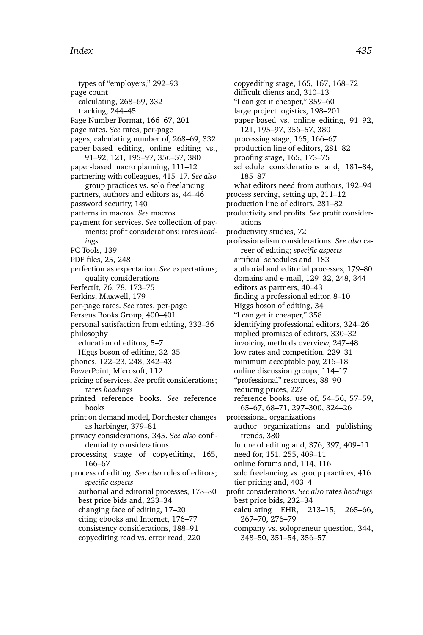types of "employers," 292–93 page count calculating, 268–69, 332 tracking, 244–45 Page Number Format, 166–67, 201 page rates. *See* rates, per-page pages, calculating number of, 268–69, 332 paper-based editing, online editing vs., 91–92, 121, 195–97, 356–57, 380 paper-based macro planning, 111–12 partnering with colleagues, 415–17. *See also* group practices vs. solo freelancing partners, authors and editors as, 44–46 password security, 140 patterns in macros. *See* macros payment for services. *See* collection of payments; profit considerations; rates *headings* PC Tools, 139 PDF files, 25, 248 perfection as expectation. *See* expectations; quality considerations PerfectIt, 76, 78, 173–75 Perkins, Maxwell, 179 per-page rates. *See* rates, per-page Perseus Books Group, 400–401 personal satisfaction from editing, 333–36 philosophy education of editors, 5–7 Higgs boson of editing, 32–35 phones, 122–23, 248, 342–43 PowerPoint, Microsoft, 112 pricing of services. *See* profit considerations; rates *headings* printed reference books. *See* reference books print on demand model, Dorchester changes as harbinger, 379–81 privacy considerations, 345. *See also* confidentiality considerations processing stage of copyediting, 165, 166–67 process of editing. *See also* roles of editors; *specific aspects* authorial and editorial processes, 178–80 best price bids and, 233–34 changing face of editing, 17–20 citing ebooks and Internet, 176–77 consistency considerations, 188–91 copyediting read vs. error read, 220

copyediting stage, 165, 167, 168–72 difficult clients and, 310–13 "I can get it cheaper," 359–60 large project logistics, 198–201 paper-based vs. online editing, 91–92, 121, 195–97, 356–57, 380 processing stage, 165, 166–67 production line of editors, 281–82 proofing stage, 165, 173–75 schedule considerations and, 181–84, 185–87 what editors need from authors, 192–94 process serving, setting up, 211–12 production line of editors, 281–82 productivity and profits. *See* profit considerations productivity studies, 72 professionalism considerations. *See also* career of editing; *specific aspects* artificial schedules and, 183 authorial and editorial processes, 179–80 domains and e-mail, 129–32, 248, 344 editors as partners, 40–43 finding a professional editor, 8–10 Higgs boson of editing, 34 "I can get it cheaper," 358 identifying professional editors, 324–26 implied promises of editors, 330–32 invoicing methods overview, 247–48 low rates and competition, 229–31 minimum acceptable pay, 216–18 online discussion groups, 114–17 "professional" resources, 88–90 reducing prices, 227 reference books, use of, 54–56, 57–59, 65–67, 68–71, 297–300, 324–26 professional organizations author organizations and publishing trends, 380 future of editing and, 376, 397, 409–11 need for, 151, 255, 409–11 online forums and, 114, 116 solo freelancing vs. group practices, 416 tier pricing and, 403–4 profit considerations. *See also* rates *headings* best price bids, 232–34 calculating EHR, 213–15, 265–66, 267–70, 276–79 company vs. solopreneur question, 344, 348–50, 351–54, 356–57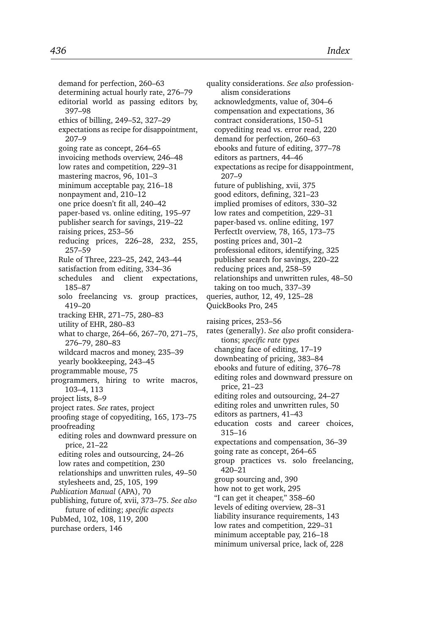demand for perfection, 260–63 determining actual hourly rate, 276–79 editorial world as passing editors by, 397–98 ethics of billing, 249–52, 327–29 expectations as recipe for disappointment, 207–9 going rate as concept, 264–65 invoicing methods overview, 246–48 low rates and competition, 229–31 mastering macros, 96, 101–3 minimum acceptable pay, 216–18 nonpayment and, 210–12 one price doesn't fit all, 240–42 paper-based vs. online editing, 195–97 publisher search for savings, 219–22 raising prices, 253–56 reducing prices, 226–28, 232, 255, 257–59 Rule of Three, 223–25, 242, 243–44 satisfaction from editing, 334–36 schedules and client expectations, 185–87 solo freelancing vs. group practices, 419–20 tracking EHR, 271–75, 280–83 utility of EHR, 280–83 what to charge, 264–66, 267–70, 271–75, 276–79, 280–83 wildcard macros and money, 235–39 yearly bookkeeping, 243–45 programmable mouse, 75 programmers, hiring to write macros, 103–4, 113 project lists, 8–9 project rates. *See* rates, project proofing stage of copyediting, 165, 173–75 proofreading editing roles and downward pressure on price, 21–22 editing roles and outsourcing, 24–26 low rates and competition, 230 relationships and unwritten rules, 49–50 stylesheets and, 25, 105, 199 *Publication Manual* (APA), 70 publishing, future of, xvii, 373–75. *See also* future of editing; *specific aspects* PubMed, 102, 108, 119, 200 purchase orders, 146

quality considerations. *See also* professionalism considerations acknowledgments, value of, 304–6 compensation and expectations, 36 contract considerations, 150–51 copyediting read vs. error read, 220 demand for perfection, 260–63 ebooks and future of editing, 377–78 editors as partners, 44–46 expectations as recipe for disappointment, 207–9 future of publishing, xvii, 375 good editors, defining, 321–23 implied promises of editors, 330–32 low rates and competition, 229–31 paper-based vs. online editing, 197 PerfectIt overview, 78, 165, 173–75 posting prices and, 301–2 professional editors, identifying, 325 publisher search for savings, 220–22 reducing prices and, 258–59 relationships and unwritten rules, 48–50 taking on too much, 337–39 queries, author, 12, 49, 125–28 QuickBooks Pro, 245 raising prices, 253–56 rates (generally). *See also* profit considerations; *specific rate types* changing face of editing, 17–19 downbeating of pricing, 383–84 ebooks and future of editing, 376–78 editing roles and downward pressure on price, 21–23 editing roles and outsourcing, 24–27 editing roles and unwritten rules, 50 editors as partners, 41–43 education costs and career choices, 315–16 expectations and compensation, 36–39 going rate as concept, 264–65 group practices vs. solo freelancing, 420–21 group sourcing and, 390 how not to get work, 295 "I can get it cheaper," 358–60 levels of editing overview, 28–31 liability insurance requirements, 143 low rates and competition, 229–31 minimum acceptable pay, 216–18

minimum universal price, lack of, 228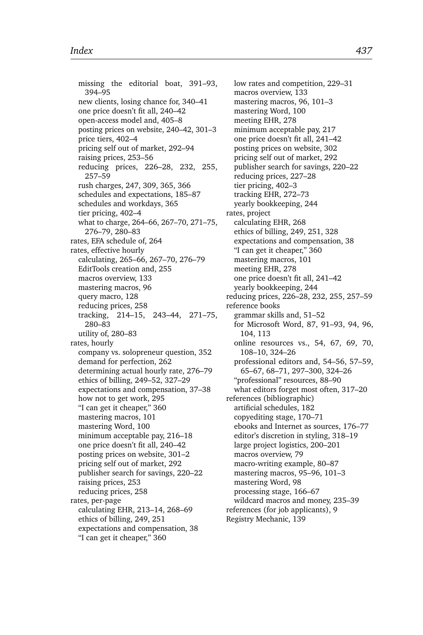missing the editorial boat, 391–93, 394–95 new clients, losing chance for, 340–41 one price doesn't fit all, 240–42 open-access model and, 405–8 posting prices on website, 240–42, 301–3 price tiers, 402–4 pricing self out of market, 292–94 raising prices, 253–56 reducing prices, 226–28, 232, 255, 257–59 rush charges, 247, 309, 365, 366 schedules and expectations, 185–87 schedules and workdays, 365 tier pricing, 402–4 what to charge, 264–66, 267–70, 271–75, 276–79, 280–83 rates, EFA schedule of, 264 rates, effective hourly calculating, 265–66, 267–70, 276–79 EditTools creation and, 255 macros overview, 133 mastering macros, 96 query macro, 128 reducing prices, 258 tracking, 214–15, 243–44, 271–75, 280–83 utility of, 280–83 rates, hourly company vs. solopreneur question, 352 demand for perfection, 262 determining actual hourly rate, 276–79 ethics of billing, 249–52, 327–29 expectations and compensation, 37–38 how not to get work, 295 "I can get it cheaper," 360 mastering macros, 101 mastering Word, 100 minimum acceptable pay, 216–18 one price doesn't fit all, 240–42 posting prices on website, 301–2 pricing self out of market, 292 publisher search for savings, 220–22 raising prices, 253 reducing prices, 258 rates, per-page calculating EHR, 213–14, 268–69 ethics of billing, 249, 251 expectations and compensation, 38 "I can get it cheaper," 360

low rates and competition, 229–31 macros overview, 133 mastering macros, 96, 101–3 mastering Word, 100 meeting EHR, 278 minimum acceptable pay, 217 one price doesn't fit all, 241–42 posting prices on website, 302 pricing self out of market, 292 publisher search for savings, 220–22 reducing prices, 227–28 tier pricing, 402–3 tracking EHR, 272–73 yearly bookkeeping, 244 rates, project calculating EHR, 268 ethics of billing, 249, 251, 328 expectations and compensation, 38 "I can get it cheaper," 360 mastering macros, 101 meeting EHR, 278 one price doesn't fit all, 241–42 yearly bookkeeping, 244 reducing prices, 226–28, 232, 255, 257–59 reference books grammar skills and, 51–52 for Microsoft Word, 87, 91–93, 94, 96, 104, 113 online resources vs., 54, 67, 69, 70, 108–10, 324–26 professional editors and, 54–56, 57–59, 65–67, 68–71, 297–300, 324–26 "professional" resources, 88–90 what editors forget most often, 317–20 references (bibliographic) artificial schedules, 182 copyediting stage, 170–71 ebooks and Internet as sources, 176–77 editor's discretion in styling, 318–19 large project logistics, 200–201 macros overview, 79 macro-writing example, 80–87 mastering macros, 95–96, 101–3 mastering Word, 98 processing stage, 166–67 wildcard macros and money, 235–39 references (for job applicants), 9 Registry Mechanic, 139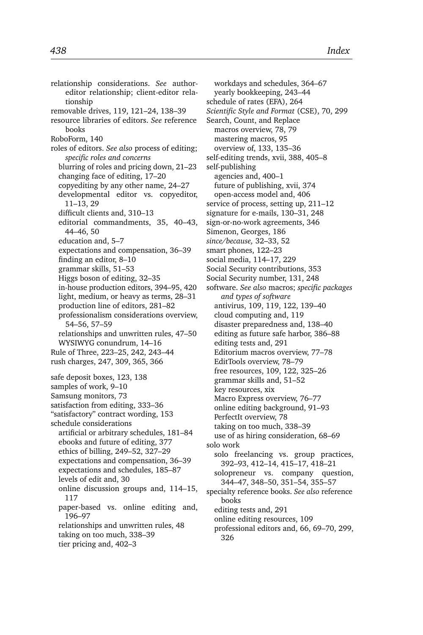relationship considerations. *See* authoreditor relationship; client-editor relationship removable drives, 119, 121–24, 138–39 resource libraries of editors. *See* reference books RoboForm, 140 roles of editors. *See also* process of editing; *specific roles and concerns* blurring of roles and pricing down, 21–23 changing face of editing, 17–20 copyediting by any other name, 24–27 developmental editor vs. copyeditor, 11–13, 29 difficult clients and, 310–13 editorial commandments, 35, 40–43, 44–46, 50 education and, 5–7 expectations and compensation, 36–39 finding an editor, 8–10 grammar skills, 51–53 Higgs boson of editing, 32–35 in-house production editors, 394–95, 420 light, medium, or heavy as terms, 28–31 production line of editors, 281–82 professionalism considerations overview, 54–56, 57–59 relationships and unwritten rules, 47–50 WYSIWYG conundrum, 14–16 Rule of Three, 223–25, 242, 243–44 rush charges, 247, 309, 365, 366 safe deposit boxes, 123, 138 samples of work, 9–10 Samsung monitors, 73 satisfaction from editing, 333–36 "satisfactory" contract wording, 153 schedule considerations artificial or arbitrary schedules, 181–84 ebooks and future of editing, 377 ethics of billing, 249–52, 327–29 expectations and compensation, 36–39 expectations and schedules, 185–87 levels of edit and, 30 online discussion groups and, 114–15, 117 paper-based vs. online editing and, 196–97 relationships and unwritten rules, 48 taking on too much, 338–39 tier pricing and, 402–3

workdays and schedules, 364–67 yearly bookkeeping, 243–44 schedule of rates (EFA), 264 *Scientific Style and Format* (CSE), 70, 299 Search, Count, and Replace macros overview, 78, 79 mastering macros, 95 overview of, 133, 135–36 self-editing trends, xvii, 388, 405–8 self-publishing agencies and, 400–1 future of publishing, xvii, 374 open-access model and, 406 service of process, setting up, 211–12 signature for e-mails, 130–31, 248 sign-or-no-work agreements, 346 Simenon, Georges, 186 *since/because,* 32–33, 52 smart phones, 122–23 social media, 114–17, 229 Social Security contributions, 353 Social Security number, 131, 248 software. *See also* macros; *specific packages and types of software* antivirus, 109, 119, 122, 139–40 cloud computing and, 119 disaster preparedness and, 138–40 editing as future safe harbor, 386–88 editing tests and, 291 Editorium macros overview, 77–78 EditTools overview, 78–79 free resources, 109, 122, 325–26 grammar skills and, 51–52 key resources, xix Macro Express overview, 76–77 online editing background, 91–93 PerfectIt overview, 78 taking on too much, 338–39 use of as hiring consideration, 68–69 solo work solo freelancing vs. group practices, 392–93, 412–14, 415–17, 418–21 solopreneur vs. company question, 344–47, 348–50, 351–54, 355–57 specialty reference books. *See also* reference books editing tests and, 291 online editing resources, 109 professional editors and, 66, 69–70, 299, 326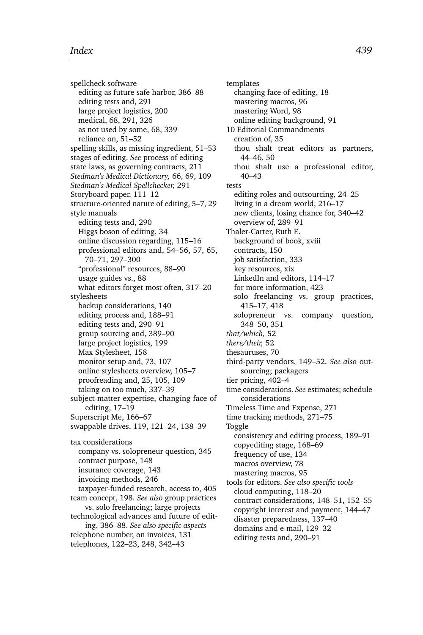spellcheck software editing as future safe harbor, 386–88 editing tests and, 291 large project logistics, 200 medical, 68, 291, 326 as not used by some, 68, 339 reliance on, 51–52 spelling skills, as missing ingredient, 51–53 stages of editing. *See* process of editing state laws, as governing contracts, 211 *Stedman's Medical Dictionary,* 66, 69, 109 *Stedman's Medical Spellchecker,* 291 Storyboard paper, 111–12 structure-oriented nature of editing, 5–7, 29 style manuals editing tests and, 290 Higgs boson of editing, 34 online discussion regarding, 115–16 professional editors and, 54–56, 57, 65, 70–71, 297–300 "professional" resources, 88–90 usage guides vs., 88 what editors forget most often, 317–20 stylesheets backup considerations, 140 editing process and, 188–91 editing tests and, 290–91 group sourcing and, 389–90 large project logistics, 199 Max Stylesheet, 158 monitor setup and, 73, 107 online stylesheets overview, 105–7 proofreading and, 25, 105, 109 taking on too much, 337–39 subject-matter expertise, changing face of editing, 17–19 Superscript Me, 166–67 swappable drives, 119, 121–24, 138–39 tax considerations company vs. solopreneur question, 345 contract purpose, 148 insurance coverage, 143 invoicing methods, 246 taxpayer-funded research, access to, 405 team concept, 198. *See also* group practices vs. solo freelancing; large projects technological advances and future of editing, 386–88. *See also specific aspects* telephone number, on invoices, 131 telephones, 122–23, 248, 342–43

templates changing face of editing, 18 mastering macros, 96 mastering Word, 98 online editing background, 91 10 Editorial Commandments creation of, 35 thou shalt treat editors as partners, 44–46, 50 thou shalt use a professional editor, 40–43 tests editing roles and outsourcing, 24–25 living in a dream world, 216–17 new clients, losing chance for, 340–42 overview of, 289–91 Thaler-Carter, Ruth E. background of book, xviii contracts, 150 job satisfaction, 333 key resources, xix LinkedIn and editors, 114–17 for more information, 423 solo freelancing vs. group practices, 415–17, 418 solopreneur vs. company question, 348–50, 351 *that/which,* 52 *there/their,* 52 thesauruses, 70 third-party vendors, 149–52. *See also* outsourcing; packagers tier pricing, 402–4 time considerations. *See* estimates; schedule considerations Timeless Time and Expense, 271 time tracking methods, 271–75 Toggle consistency and editing process, 189–91 copyediting stage, 168–69 frequency of use, 134 macros overview, 78 mastering macros, 95 tools for editors. *See also specific tools* cloud computing, 118–20 contract considerations, 148–51, 152–55 copyright interest and payment, 144–47 disaster preparedness, 137–40 domains and e-mail, 129–32 editing tests and, 290–91